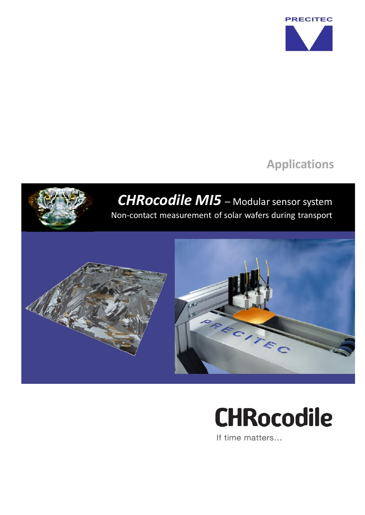

## **Applications**



## **CHRocodile**

If time matters...